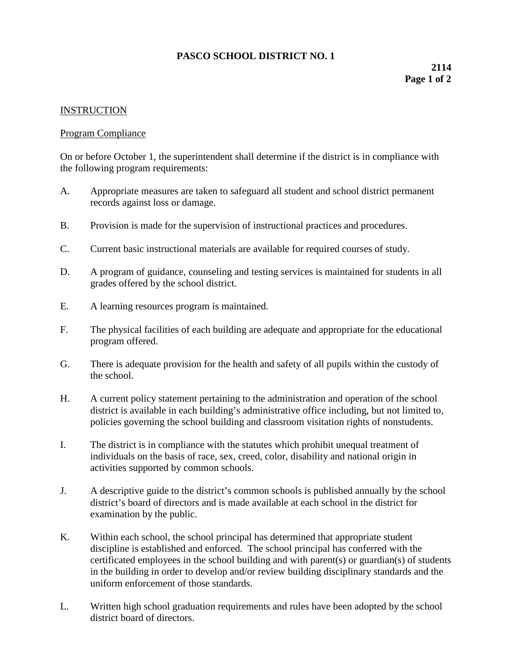## **PASCO SCHOOL DISTRICT NO. 1**

## **INSTRUCTION**

## Program Compliance

On or before October 1, the superintendent shall determine if the district is in compliance with the following program requirements:

- A. Appropriate measures are taken to safeguard all student and school district permanent records against loss or damage.
- B. Provision is made for the supervision of instructional practices and procedures.
- C. Current basic instructional materials are available for required courses of study.
- D. A program of guidance, counseling and testing services is maintained for students in all grades offered by the school district.
- E. A learning resources program is maintained.
- F. The physical facilities of each building are adequate and appropriate for the educational program offered.
- G. There is adequate provision for the health and safety of all pupils within the custody of the school.
- H. A current policy statement pertaining to the administration and operation of the school district is available in each building's administrative office including, but not limited to, policies governing the school building and classroom visitation rights of nonstudents.
- I. The district is in compliance with the statutes which prohibit unequal treatment of individuals on the basis of race, sex, creed, color, disability and national origin in activities supported by common schools.
- J. A descriptive guide to the district's common schools is published annually by the school district's board of directors and is made available at each school in the district for examination by the public.
- K. Within each school, the school principal has determined that appropriate student discipline is established and enforced. The school principal has conferred with the certificated employees in the school building and with parent(s) or guardian(s) of students in the building in order to develop and/or review building disciplinary standards and the uniform enforcement of those standards.
- L. Written high school graduation requirements and rules have been adopted by the school district board of directors.